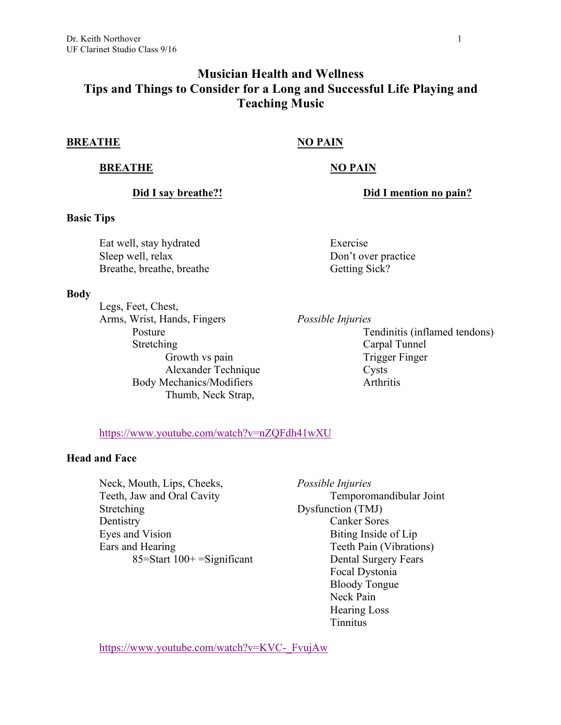# **Musician Health and Wellness Tips and Things to Consider for a Long and Successful Life Playing and Teaching Music**

### **BREATHE NO PAIN**

## **BREATHE NO PAIN**

**Did I say breathe?! Did I mention no pain?**

## **Basic Tips**

Eat well, stay hydrated Sleep well, relax Breathe, breathe, breathe

#### **Body**

Legs, Feet, Chest, Arms, Wrist, Hands, Fingers Posture **Stretching** Growth vs pain Alexander Technique Body Mechanics/Modifiers Thumb, Neck Strap,

Exercise Don't over practice Getting Sick?

*Possible Injuries*

Tendinitis (inflamed tendons) Carpal Tunnel Trigger Finger Cysts Arthritis

## https://www.youtube.com/watch?v=nZQFdh41wXU

## **Head and Face**

Neck, Mouth, Lips, Cheeks, Teeth, Jaw and Oral Cavity Stretching Dentistry Eyes and Vision Ears and Hearing  $85 =$ Start  $100 +$   $=$ Significant *Possible Injuries* Temporomandibular Joint Dysfunction (TMJ) Canker Sores Biting Inside of Lip Teeth Pain (Vibrations) Dental Surgery Fears Focal Dystonia Bloody Tongue Neck Pain Hearing Loss Tinnitus

https://www.youtube.com/watch?v=KVC-\_FvujAw